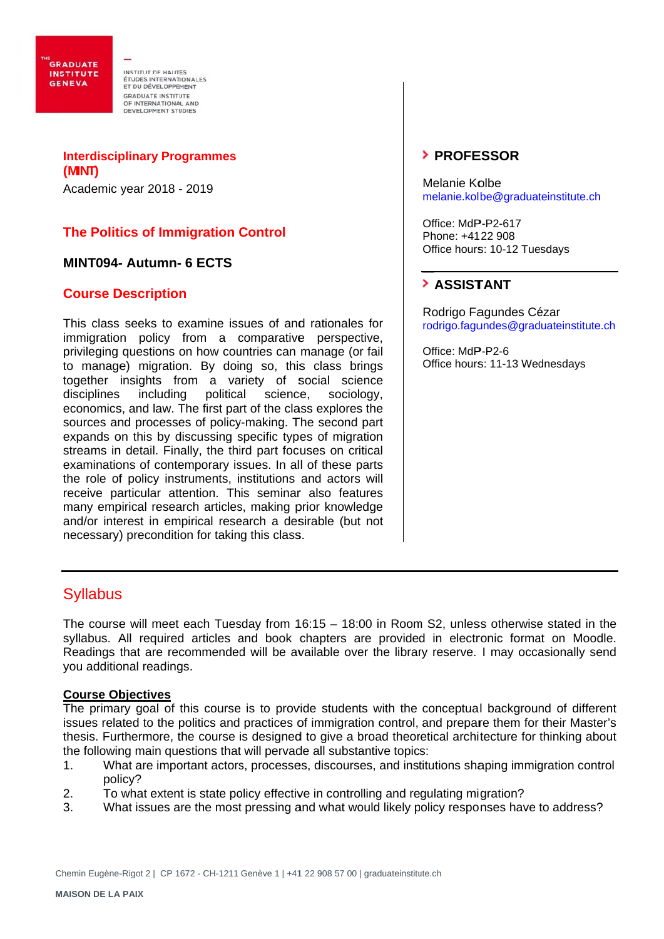**GRADUATE INSTITUTE GENEVA** 

INSTITUTION HAUTES ETUDES INTERNATIONALES ET DU DÉVELOPPEMENT **GRADUATE INSTITUTE** OF INTERNATIONAL AND<br>DEVELOPMENT STUDIES

**Interdisciplinary Programmes (MINT)**  Academic year 2018 - - 2019

# **The Politics of Immigration Control**

# **MINT094- - Autumn-- 6 ECTS**

# **Course Description**

This class seeks to examine issues of and rationales for immigration policy from a comparative perspective, privileging questions on how countries can manage (or fail to manage) migration. By doing so, this class brings together insights from a variety of social science disciplines economics, and law. The first part of the class explores the sources and processes of policy-making. The second part expands on this by discussing specific types of migration streams in detail. Finally, the third part focuses on critical examinations of contemporary issues. In all of these parts the role of policy instruments, institutions and actors will receive particular attention. This seminar also features many empirical research articles, making prior knowledge and/or interest in empirical research a desirable (but not necessary) ) preconditi on for takin g this class s. includin political science. ce, sociol ogy,

# **PROFE ESSOR**

Melanie Kolbe melanie.kolbe@graduateinstitute.ch

Office: MdP-P2-617 Phone: +41 22 908 Office hours: 10-12 Tuesdays

# **ASSIST TANT**

Rodrigo Fagundes Cézar rodrigo.fagundes@graduateinstitute .h<br>.e.ch

Office: MdP-P2-6 Office hours: 11-13 Wednesdays

# **Syllabus**

Syllabus<br>The course will meet each Tuesday from 16:15 – 18:00 in Room S2, unless otherwise stated in the syllabus. All required articles and book chapters are provided in electronic format on Moodle. Readings that are recommended will be available over the library reserve. I may occasionally send you additional readings.

### **Course Ob bjectives**

The primary goal of this course is to provide students with the conceptual background of different issues related to the politics and practices of immigration control, and prepare them for their Master's thesis. Furthermore, the course is designed to give a broad theoretical architecture for thinking about the following main questions that will pervade all substantive topics:

- 1. What are important actors, processes, discourses, and institutions shaping immigration control pol icy?
- 2. To what extent is state policy effective in controlling and regulating migration?
- 3. What issues are the most pressing and what would likely policy responses have to address?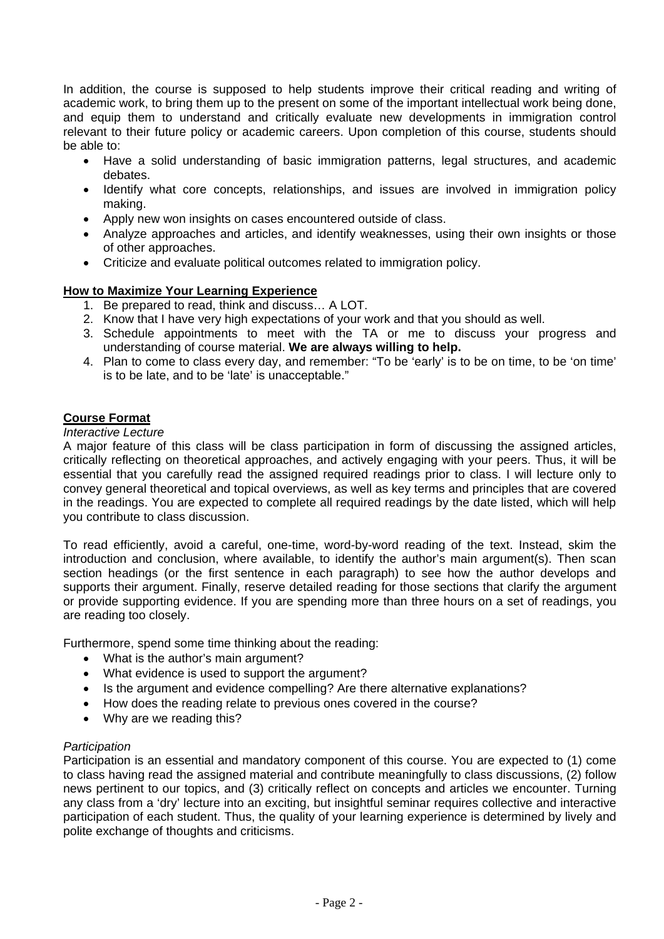In addition, the course is supposed to help students improve their critical reading and writing of academic work, to bring them up to the present on some of the important intellectual work being done, and equip them to understand and critically evaluate new developments in immigration control relevant to their future policy or academic careers. Upon completion of this course, students should be able to:

- Have a solid understanding of basic immigration patterns, legal structures, and academic debates.
- Identify what core concepts, relationships, and issues are involved in immigration policy making.
- Apply new won insights on cases encountered outside of class.
- Analyze approaches and articles, and identify weaknesses, using their own insights or those of other approaches.
- Criticize and evaluate political outcomes related to immigration policy.

# **How to Maximize Your Learning Experience**

- 1. Be prepared to read, think and discuss… A LOT.
- 2. Know that I have very high expectations of your work and that you should as well.
- 3. Schedule appointments to meet with the TA or me to discuss your progress and understanding of course material. **We are always willing to help.**
- 4. Plan to come to class every day, and remember: "To be 'early' is to be on time, to be 'on time' is to be late, and to be 'late' is unacceptable."

# **Course Format**

### *Interactive Lecture*

A major feature of this class will be class participation in form of discussing the assigned articles, critically reflecting on theoretical approaches, and actively engaging with your peers. Thus, it will be essential that you carefully read the assigned required readings prior to class. I will lecture only to convey general theoretical and topical overviews, as well as key terms and principles that are covered in the readings. You are expected to complete all required readings by the date listed, which will help you contribute to class discussion.

To read efficiently, avoid a careful, one-time, word-by-word reading of the text. Instead, skim the introduction and conclusion, where available, to identify the author's main argument(s). Then scan section headings (or the first sentence in each paragraph) to see how the author develops and supports their argument. Finally, reserve detailed reading for those sections that clarify the argument or provide supporting evidence. If you are spending more than three hours on a set of readings, you are reading too closely.

Furthermore, spend some time thinking about the reading:

- What is the author's main argument?
- What evidence is used to support the argument?
- Is the argument and evidence compelling? Are there alternative explanations?
- How does the reading relate to previous ones covered in the course?
- Why are we reading this?

### *Participation*

Participation is an essential and mandatory component of this course. You are expected to (1) come to class having read the assigned material and contribute meaningfully to class discussions, (2) follow news pertinent to our topics, and (3) critically reflect on concepts and articles we encounter. Turning any class from a 'dry' lecture into an exciting, but insightful seminar requires collective and interactive participation of each student. Thus, the quality of your learning experience is determined by lively and polite exchange of thoughts and criticisms.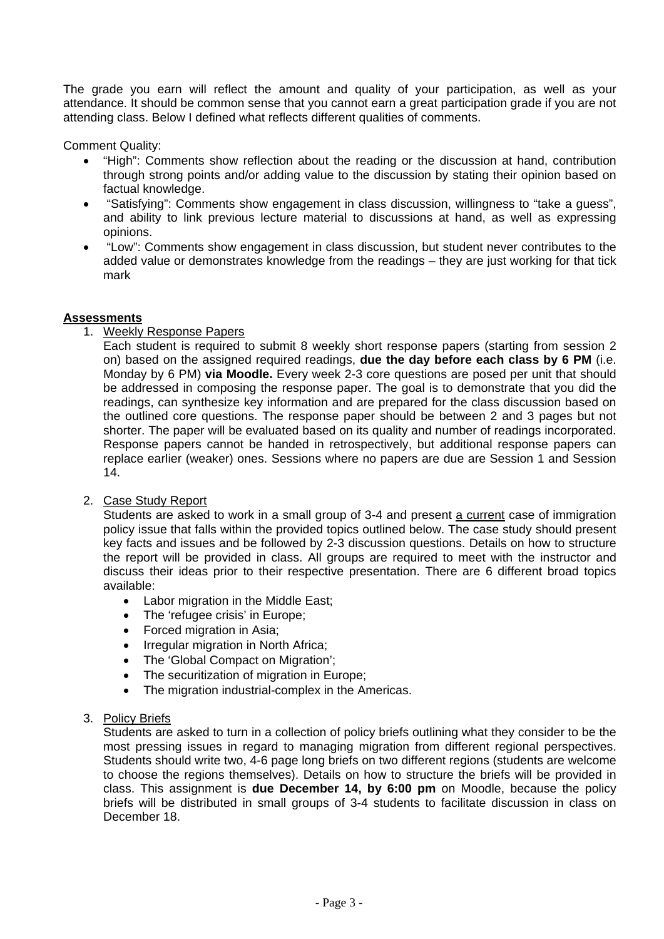The grade you earn will reflect the amount and quality of your participation, as well as your attendance. It should be common sense that you cannot earn a great participation grade if you are not attending class. Below I defined what reflects different qualities of comments.

Comment Quality:

- "High": Comments show reflection about the reading or the discussion at hand, contribution through strong points and/or adding value to the discussion by stating their opinion based on factual knowledge.
- "Satisfying": Comments show engagement in class discussion, willingness to "take a guess", and ability to link previous lecture material to discussions at hand, as well as expressing opinions.
- "Low": Comments show engagement in class discussion, but student never contributes to the added value or demonstrates knowledge from the readings – they are just working for that tick mark

### **Assessments**

1. Weekly Response Papers

Each student is required to submit 8 weekly short response papers (starting from session 2 on) based on the assigned required readings, **due the day before each class by 6 PM** (i.e. Monday by 6 PM) **via Moodle.** Every week 2-3 core questions are posed per unit that should be addressed in composing the response paper. The goal is to demonstrate that you did the readings, can synthesize key information and are prepared for the class discussion based on the outlined core questions. The response paper should be between 2 and 3 pages but not shorter. The paper will be evaluated based on its quality and number of readings incorporated. Response papers cannot be handed in retrospectively, but additional response papers can replace earlier (weaker) ones. Sessions where no papers are due are Session 1 and Session 14.

# 2. Case Study Report

Students are asked to work in a small group of 3-4 and present a current case of immigration policy issue that falls within the provided topics outlined below. The case study should present key facts and issues and be followed by 2-3 discussion questions. Details on how to structure the report will be provided in class. All groups are required to meet with the instructor and discuss their ideas prior to their respective presentation. There are 6 different broad topics available:

- Labor migration in the Middle East:
- The 'refugee crisis' in Europe;
- Forced migration in Asia;
- Irregular migration in North Africa;
- The 'Global Compact on Migration';
- The securitization of migration in Europe;
- The migration industrial-complex in the Americas.

# 3. Policy Briefs

Students are asked to turn in a collection of policy briefs outlining what they consider to be the most pressing issues in regard to managing migration from different regional perspectives. Students should write two, 4-6 page long briefs on two different regions (students are welcome to choose the regions themselves). Details on how to structure the briefs will be provided in class. This assignment is **due December 14, by 6:00 pm** on Moodle, because the policy briefs will be distributed in small groups of 3-4 students to facilitate discussion in class on December 18.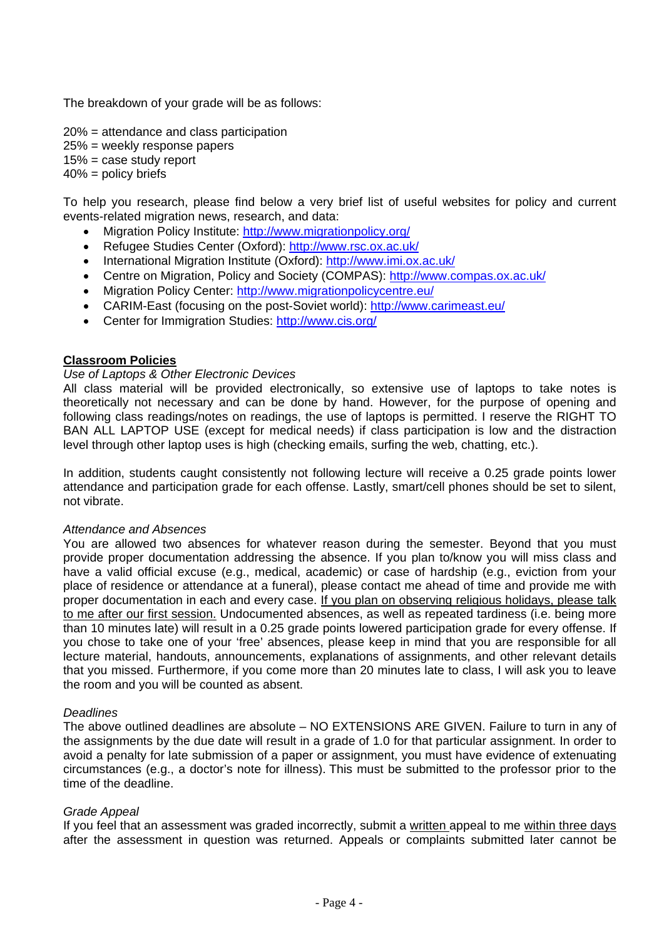The breakdown of your grade will be as follows:

20% = attendance and class participation 25% = weekly response papers  $15%$  = case study report  $40\%$  = policy briefs

To help you research, please find below a very brief list of useful websites for policy and current events-related migration news, research, and data:

- Migration Policy Institute: http://www.migrationpolicy.org/
- Refugee Studies Center (Oxford): http://www.rsc.ox.ac.uk/
- International Migration Institute (Oxford): http://www.imi.ox.ac.uk/
- Centre on Migration, Policy and Society (COMPAS): http://www.compas.ox.ac.uk/
- Migration Policy Center: http://www.migrationpolicycentre.eu/
- CARIM-East (focusing on the post-Soviet world): http://www.carimeast.eu/
- Center for Immigration Studies: http://www.cis.org/

# **Classroom Policies**

# *Use of Laptops & Other Electronic Devices*

All class material will be provided electronically, so extensive use of laptops to take notes is theoretically not necessary and can be done by hand. However, for the purpose of opening and following class readings/notes on readings, the use of laptops is permitted. I reserve the RIGHT TO BAN ALL LAPTOP USE (except for medical needs) if class participation is low and the distraction level through other laptop uses is high (checking emails, surfing the web, chatting, etc.).

In addition, students caught consistently not following lecture will receive a 0.25 grade points lower attendance and participation grade for each offense. Lastly, smart/cell phones should be set to silent, not vibrate.

### *Attendance and Absences*

You are allowed two absences for whatever reason during the semester. Beyond that you must provide proper documentation addressing the absence. If you plan to/know you will miss class and have a valid official excuse (e.g., medical, academic) or case of hardship (e.g., eviction from your place of residence or attendance at a funeral), please contact me ahead of time and provide me with proper documentation in each and every case. If you plan on observing religious holidays, please talk to me after our first session. Undocumented absences, as well as repeated tardiness (i.e. being more than 10 minutes late) will result in a 0.25 grade points lowered participation grade for every offense. If you chose to take one of your 'free' absences, please keep in mind that you are responsible for all lecture material, handouts, announcements, explanations of assignments, and other relevant details that you missed. Furthermore, if you come more than 20 minutes late to class, I will ask you to leave the room and you will be counted as absent.

### *Deadlines*

The above outlined deadlines are absolute – NO EXTENSIONS ARE GIVEN. Failure to turn in any of the assignments by the due date will result in a grade of 1.0 for that particular assignment. In order to avoid a penalty for late submission of a paper or assignment, you must have evidence of extenuating circumstances (e.g., a doctor's note for illness). This must be submitted to the professor prior to the time of the deadline.

### *Grade Appeal*

If you feel that an assessment was graded incorrectly, submit a written appeal to me within three days after the assessment in question was returned. Appeals or complaints submitted later cannot be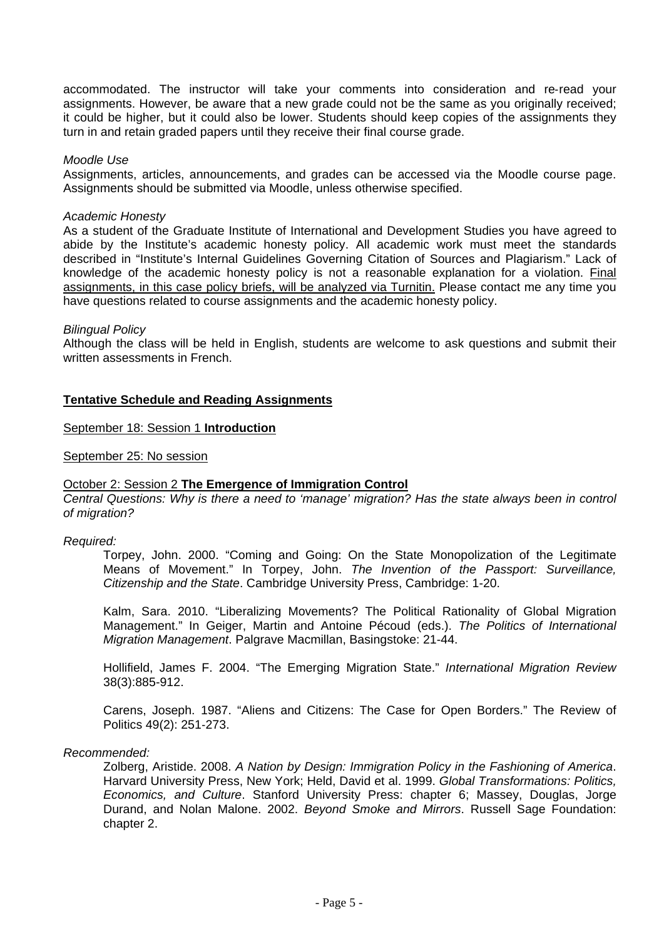accommodated. The instructor will take your comments into consideration and re‐read your assignments. However, be aware that a new grade could not be the same as you originally received; it could be higher, but it could also be lower. Students should keep copies of the assignments they turn in and retain graded papers until they receive their final course grade.

#### *Moodle Use*

Assignments, articles, announcements, and grades can be accessed via the Moodle course page. Assignments should be submitted via Moodle, unless otherwise specified.

#### *Academic Honesty*

As a student of the Graduate Institute of International and Development Studies you have agreed to abide by the Institute's academic honesty policy. All academic work must meet the standards described in "Institute's Internal Guidelines Governing Citation of Sources and Plagiarism." Lack of knowledge of the academic honesty policy is not a reasonable explanation for a violation. Final assignments, in this case policy briefs, will be analyzed via Turnitin. Please contact me any time you have questions related to course assignments and the academic honesty policy.

#### *Bilingual Policy*

Although the class will be held in English, students are welcome to ask questions and submit their written assessments in French.

### **Tentative Schedule and Reading Assignments**

September 18: Session 1 **Introduction** 

September 25: No session

### October 2: Session 2 **The Emergence of Immigration Control**

*Central Questions: Why is there a need to 'manage' migration? Has the state always been in control of migration?* 

### *Required:*

Torpey, John. 2000. "Coming and Going: On the State Monopolization of the Legitimate Means of Movement." In Torpey, John. *The Invention of the Passport: Surveillance, Citizenship and the State*. Cambridge University Press, Cambridge: 1-20.

Kalm, Sara. 2010. "Liberalizing Movements? The Political Rationality of Global Migration Management." In Geiger, Martin and Antoine Pécoud (eds.). *The Politics of International Migration Management*. Palgrave Macmillan, Basingstoke: 21-44.

Hollifield, James F. 2004. "The Emerging Migration State." *International Migration Review* 38(3):885-912.

Carens, Joseph. 1987. "Aliens and Citizens: The Case for Open Borders." The Review of Politics 49(2): 251‐273.

#### *Recommended:*

Zolberg, Aristide. 2008. *A Nation by Design: Immigration Policy in the Fashioning of America*. Harvard University Press, New York; Held, David et al. 1999. *Global Transformations: Politics, Economics, and Culture*. Stanford University Press: chapter 6; Massey, Douglas, Jorge Durand, and Nolan Malone. 2002. *Beyond Smoke and Mirrors*. Russell Sage Foundation: chapter 2.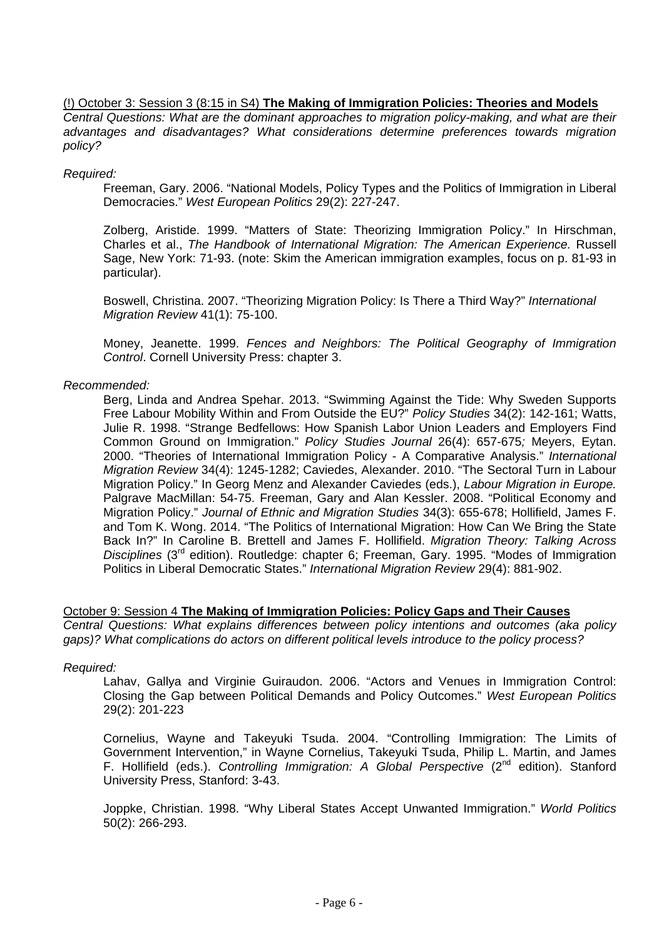### (!) October 3: Session 3 (8:15 in S4) **The Making of Immigration Policies: Theories and Models**

*Central Questions: What are the dominant approaches to migration policy-making, and what are their advantages and disadvantages? What considerations determine preferences towards migration policy?* 

### *Required:*

Freeman, Gary. 2006. "National Models, Policy Types and the Politics of Immigration in Liberal Democracies." *West European Politics* 29(2): 227-247.

Zolberg, Aristide. 1999. "Matters of State: Theorizing Immigration Policy." In Hirschman, Charles et al., *The Handbook of International Migration: The American Experience.* Russell Sage, New York: 71-93. (note: Skim the American immigration examples, focus on p. 81-93 in particular).

Boswell, Christina. 2007. "Theorizing Migration Policy: Is There a Third Way?" *International Migration Review* 41(1): 75-100.

Money, Jeanette. 1999. *Fences and Neighbors: The Political Geography of Immigration Control*. Cornell University Press: chapter 3.

### *Recommended:*

Berg, Linda and Andrea Spehar. 2013. "Swimming Against the Tide: Why Sweden Supports Free Labour Mobility Within and From Outside the EU?" *Policy Studies* 34(2): 142-161; Watts, Julie R. 1998. "Strange Bedfellows: How Spanish Labor Union Leaders and Employers Find Common Ground on Immigration." *Policy Studies Journal* 26(4): 657-675*;* Meyers, Eytan. 2000. "Theories of International Immigration Policy - A Comparative Analysis." *International Migration Review* 34(4): 1245-1282; Caviedes, Alexander. 2010. "The Sectoral Turn in Labour Migration Policy." In Georg Menz and Alexander Caviedes (eds.), *Labour Migration in Europe.* Palgrave MacMillan: 54-75. Freeman, Gary and Alan Kessler. 2008. "Political Economy and Migration Policy." *Journal of Ethnic and Migration Studies* 34(3): 655-678; Hollifield, James F. and Tom K. Wong. 2014. "The Politics of International Migration: How Can We Bring the State Back In?" In Caroline B. Brettell and James F. Hollifield. *Migration Theory: Talking Across Disciplines* (3rd edition). Routledge: chapter 6; Freeman, Gary. 1995. "Modes of Immigration Politics in Liberal Democratic States." *International Migration Review* 29(4): 881-902.

October 9: Session 4 **The Making of Immigration Policies: Policy Gaps and Their Causes** 

*Central Questions: What explains differences between policy intentions and outcomes (aka policy gaps)? What complications do actors on different political levels introduce to the policy process?* 

### *Required:*

Lahav, Gallya and Virginie Guiraudon. 2006. "Actors and Venues in Immigration Control: Closing the Gap between Political Demands and Policy Outcomes." *West European Politics* 29(2): 201-223

Cornelius, Wayne and Takeyuki Tsuda. 2004. "Controlling Immigration: The Limits of Government Intervention," in Wayne Cornelius, Takeyuki Tsuda, Philip L. Martin, and James F. Hollifield (eds.). *Controlling Immigration: A Global Perspective* (2<sup>nd</sup> edition). Stanford University Press, Stanford: 3-43.

Joppke, Christian. 1998. "Why Liberal States Accept Unwanted Immigration." *World Politics* 50(2): 266-293.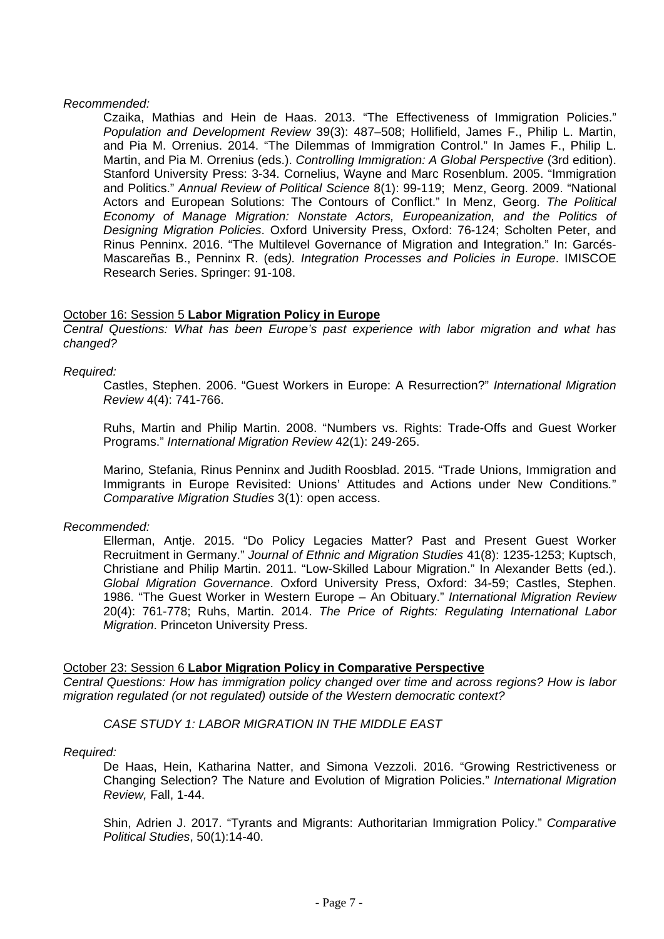### *Recommended:*

Czaika, Mathias and Hein de Haas. 2013. "The Effectiveness of Immigration Policies." *Population and Development Review* 39(3): 487–508; Hollifield, James F., Philip L. Martin, and Pia M. Orrenius. 2014. "The Dilemmas of Immigration Control." In James F., Philip L. Martin, and Pia M. Orrenius (eds.). *Controlling Immigration: A Global Perspective* (3rd edition). Stanford University Press: 3-34. Cornelius, Wayne and Marc Rosenblum. 2005. "Immigration and Politics." *Annual Review of Political Science* 8(1): 99-119; Menz, Georg. 2009. "National Actors and European Solutions: The Contours of Conflict." In Menz, Georg. *The Political Economy of Manage Migration: Nonstate Actors, Europeanization, and the Politics of Designing Migration Policies*. Oxford University Press, Oxford: 76-124; Scholten Peter, and Rinus Penninx. 2016. "The Multilevel Governance of Migration and Integration." In: Garcés-Mascareñas B., Penninx R. (eds*). Integration Processes and Policies in Europe*. IMISCOE Research Series. Springer: 91-108.

### October 16: Session 5 **Labor Migration Policy in Europe**

*Central Questions: What has been Europe's past experience with labor migration and what has changed?* 

### *Required:*

Castles, Stephen. 2006. "Guest Workers in Europe: A Resurrection?" *International Migration Review* 4(4): 741-766.

Ruhs, Martin and Philip Martin. 2008. "Numbers vs. Rights: Trade-Offs and Guest Worker Programs." *International Migration Review* 42(1): 249-265.

Marino*,* Stefania, Rinus Penninx and Judith Roosblad. 2015. "Trade Unions, Immigration and Immigrants in Europe Revisited: Unions' Attitudes and Actions under New Conditions*.*" *Comparative Migration Studies* 3(1): open access.

### *Recommended:*

Ellerman, Antje. 2015. "Do Policy Legacies Matter? Past and Present Guest Worker Recruitment in Germany." *Journal of Ethnic and Migration Studies* 41(8): 1235-1253; Kuptsch, Christiane and Philip Martin. 2011. "Low-Skilled Labour Migration." In Alexander Betts (ed.). *Global Migration Governance*. Oxford University Press, Oxford: 34-59; Castles, Stephen. 1986. "The Guest Worker in Western Europe – An Obituary." *International Migration Review* 20(4): 761-778; Ruhs, Martin. 2014. *The Price of Rights: Regulating International Labor Migration*. Princeton University Press.

### October 23: Session 6 **Labor Migration Policy in Comparative Perspective**

*Central Questions: How has immigration policy changed over time and across regions? How is labor migration regulated (or not regulated) outside of the Western democratic context?* 

*CASE STUDY 1: LABOR MIGRATION IN THE MIDDLE EAST*

### *Required:*

De Haas, Hein, Katharina Natter, and Simona Vezzoli. 2016. "Growing Restrictiveness or Changing Selection? The Nature and Evolution of Migration Policies." *International Migration Review,* Fall, 1-44.

Shin, Adrien J. 2017. "Tyrants and Migrants: Authoritarian Immigration Policy." *Comparative Political Studies*, 50(1):14-40.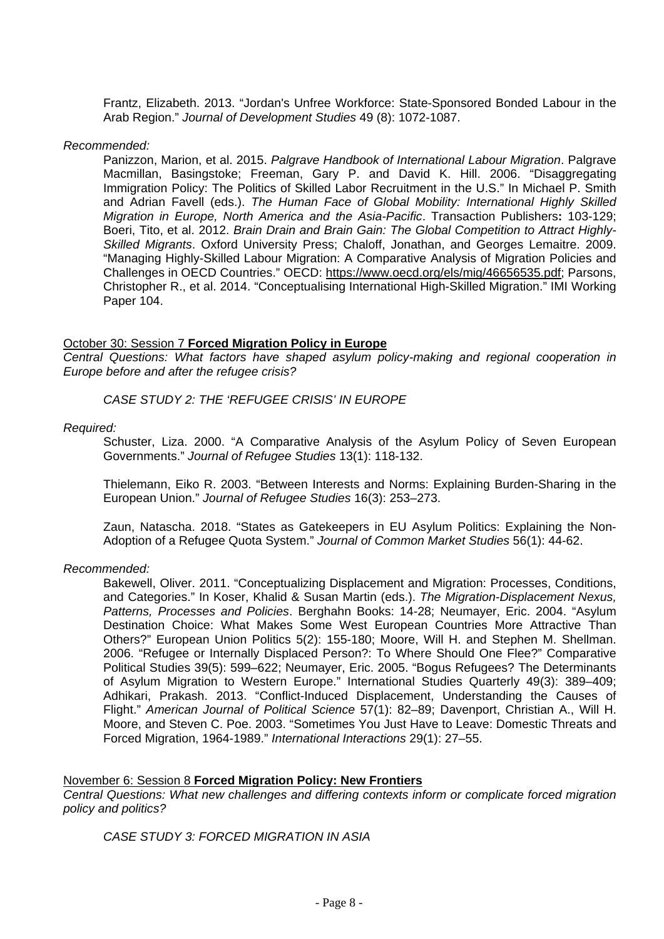Frantz, Elizabeth. 2013. "Jordan's Unfree Workforce: State-Sponsored Bonded Labour in the Arab Region." *Journal of Development Studies* 49 (8): 1072-1087.

#### *Recommended:*

Panizzon, Marion, et al. 2015. *Palgrave Handbook of International Labour Migration*. Palgrave Macmillan, Basingstoke; Freeman, Gary P. and David K. Hill. 2006. "Disaggregating Immigration Policy: The Politics of Skilled Labor Recruitment in the U.S." In Michael P. Smith and Adrian Favell (eds.). *The Human Face of Global Mobility: International Highly Skilled Migration in Europe, North America and the Asia-Pacific*. Transaction Publishers**:** 103-129; Boeri, Tito, et al. 2012. *Brain Drain and Brain Gain: The Global Competition to Attract Highly-Skilled Migrants*. Oxford University Press; Chaloff, Jonathan, and Georges Lemaitre. 2009. "Managing Highly-Skilled Labour Migration: A Comparative Analysis of Migration Policies and Challenges in OECD Countries." OECD: https://www.oecd.org/els/mig/46656535.pdf; Parsons, Christopher R., et al. 2014. "Conceptualising International High-Skilled Migration." IMI Working Paper 104.

### October 30: Session 7 **Forced Migration Policy in Europe**

*Central Questions: What factors have shaped asylum policy-making and regional cooperation in Europe before and after the refugee crisis?* 

*CASE STUDY 2: THE 'REFUGEE CRISIS' IN EUROPE*

### *Required:*

Schuster, Liza. 2000. "A Comparative Analysis of the Asylum Policy of Seven European Governments." *Journal of Refugee Studies* 13(1): 118-132.

Thielemann, Eiko R. 2003. "Between Interests and Norms: Explaining Burden-Sharing in the European Union." *Journal of Refugee Studies* 16(3): 253–273.

Zaun, Natascha. 2018. "States as Gatekeepers in EU Asylum Politics: Explaining the Non-Adoption of a Refugee Quota System." *Journal of Common Market Studies* 56(1): 44-62.

### *Recommended:*

Bakewell, Oliver. 2011. "Conceptualizing Displacement and Migration: Processes, Conditions, and Categories." In Koser, Khalid & Susan Martin (eds.). *The Migration-Displacement Nexus, Patterns, Processes and Policies*. Berghahn Books: 14-28; Neumayer, Eric. 2004. "Asylum Destination Choice: What Makes Some West European Countries More Attractive Than Others?" European Union Politics 5(2): 155-180; Moore, Will H. and Stephen M. Shellman. 2006. "Refugee or Internally Displaced Person?: To Where Should One Flee?" Comparative Political Studies 39(5): 599–622; Neumayer, Eric. 2005. "Bogus Refugees? The Determinants of Asylum Migration to Western Europe." International Studies Quarterly 49(3): 389–409; Adhikari, Prakash. 2013. "Conflict-Induced Displacement, Understanding the Causes of Flight." *American Journal of Political Science* 57(1): 82–89; Davenport, Christian A., Will H. Moore, and Steven C. Poe. 2003. "Sometimes You Just Have to Leave: Domestic Threats and Forced Migration, 1964-1989." *International Interactions* 29(1): 27–55.

### November 6: Session 8 **Forced Migration Policy: New Frontiers**

*Central Questions: What new challenges and differing contexts inform or complicate forced migration policy and politics?*

*CASE STUDY 3: FORCED MIGRATION IN ASIA*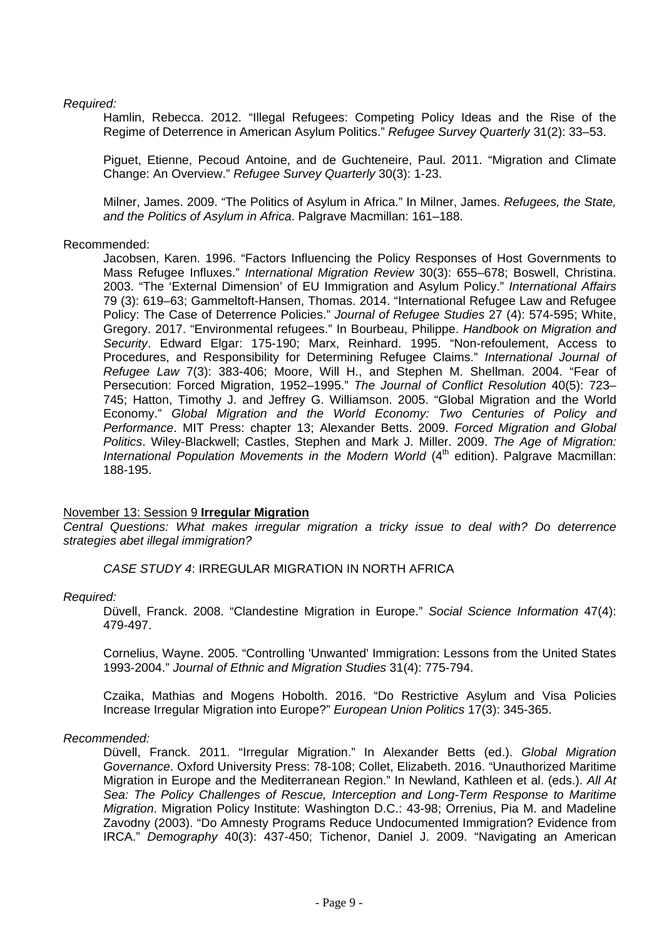### *Required:*

Hamlin, Rebecca. 2012. "Illegal Refugees: Competing Policy Ideas and the Rise of the Regime of Deterrence in American Asylum Politics." *Refugee Survey Quarterly* 31(2): 33–53.

Piguet, Etienne, Pecoud Antoine, and de Guchteneire, Paul. 2011. "Migration and Climate Change: An Overview." *Refugee Survey Quarterly* 30(3): 1-23.

Milner, James. 2009. "The Politics of Asylum in Africa." In Milner, James. *Refugees, the State, and the Politics of Asylum in Africa*. Palgrave Macmillan: 161–188.

### Recommended:

Jacobsen, Karen. 1996. "Factors Influencing the Policy Responses of Host Governments to Mass Refugee Influxes." *International Migration Review* 30(3): 655–678; Boswell, Christina. 2003. "The 'External Dimension' of EU Immigration and Asylum Policy." *International Affairs* 79 (3): 619–63; Gammeltoft-Hansen, Thomas. 2014. "International Refugee Law and Refugee Policy: The Case of Deterrence Policies." *Journal of Refugee Studies* 27 (4): 574-595; White, Gregory. 2017. "Environmental refugees." In Bourbeau, Philippe. *Handbook on Migration and Security*. Edward Elgar: 175-190; Marx, Reinhard. 1995. "Non-refoulement, Access to Procedures, and Responsibility for Determining Refugee Claims." *International Journal of Refugee Law* 7(3): 383-406; Moore, Will H., and Stephen M. Shellman. 2004. "Fear of Persecution: Forced Migration, 1952–1995." *The Journal of Conflict Resolution* 40(5): 723– 745; Hatton, Timothy J. and Jeffrey G. Williamson. 2005. "Global Migration and the World Economy." *Global Migration and the World Economy: Two Centuries of Policy and Performance*. MIT Press: chapter 13; Alexander Betts. 2009. *Forced Migration and Global Politics*. Wiley-Blackwell; Castles, Stephen and Mark J. Miller. 2009. *The Age of Migration: International Population Movements in the Modern World* (4<sup>th</sup> edition). Palgrave Macmillan: 188-195.

### November 13: Session 9 **Irregular Migration**

*Central Questions: What makes irregular migration a tricky issue to deal with? Do deterrence strategies abet illegal immigration?* 

*CASE STUDY 4*: IRREGULAR MIGRATION IN NORTH AFRICA

### *Required:*

Düvell, Franck. 2008. "Clandestine Migration in Europe." *Social Science Information* 47(4): 479-497.

Cornelius, Wayne. 2005. "Controlling 'Unwanted' Immigration: Lessons from the United States 1993-2004." *Journal of Ethnic and Migration Studies* 31(4): 775-794.

Czaika, Mathias and Mogens Hobolth. 2016. "Do Restrictive Asylum and Visa Policies Increase Irregular Migration into Europe?" *European Union Politics* 17(3): 345-365.

#### *Recommended:*

Düvell, Franck. 2011. "Irregular Migration." In Alexander Betts (ed.). *Global Migration Governance*. Oxford University Press: 78-108; Collet, Elizabeth. 2016. "Unauthorized Maritime Migration in Europe and the Mediterranean Region." In Newland, Kathleen et al. (eds.). *All At Sea: The Policy Challenges of Rescue, Interception and Long-Term Response to Maritime Migration*. Migration Policy Institute: Washington D.C.: 43-98; Orrenius, Pia M. and Madeline Zavodny (2003). "Do Amnesty Programs Reduce Undocumented Immigration? Evidence from IRCA." *Demography* 40(3): 437-450; Tichenor, Daniel J. 2009. "Navigating an American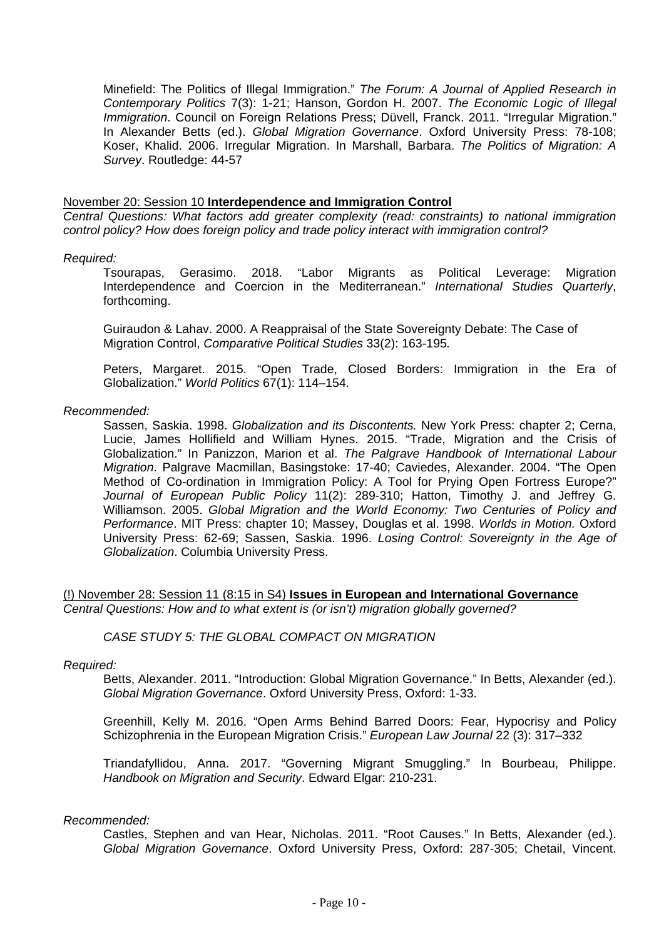Minefield: The Politics of Illegal Immigration." *The Forum: A Journal of Applied Research in Contemporary Politics* 7(3): 1-21; Hanson, Gordon H. 2007. *The Economic Logic of Illegal Immigration*. Council on Foreign Relations Press; Düvell, Franck. 2011. "Irregular Migration." In Alexander Betts (ed.). *Global Migration Governance*. Oxford University Press: 78-108; Koser, Khalid. 2006. Irregular Migration. In Marshall, Barbara. *The Politics of Migration: A Survey*. Routledge: 44-57

#### November 20: Session 10 **Interdependence and Immigration Control**

*Central Questions: What factors add greater complexity (read: constraints) to national immigration control policy? How does foreign policy and trade policy interact with immigration control?* 

#### *Required:*

Tsourapas, Gerasimo. 2018. "Labor Migrants as Political Leverage: Migration Interdependence and Coercion in the Mediterranean." *International Studies Quarterly*, forthcoming.

Guiraudon & Lahav. 2000. A Reappraisal of the State Sovereignty Debate: The Case of Migration Control, *Comparative Political Studies* 33(2): 163-195*.* 

Peters, Margaret. 2015. "Open Trade, Closed Borders: Immigration in the Era of Globalization." *World Politics* 67(1): 114–154.

#### *Recommended:*

Sassen, Saskia. 1998. *Globalization and its Discontents.* New York Press: chapter 2; Cerna, Lucie, James Hollifield and William Hynes. 2015. "Trade, Migration and the Crisis of Globalization." In Panizzon, Marion et al. *The Palgrave Handbook of International Labour Migration*. Palgrave Macmillan, Basingstoke: 17-40; Caviedes, Alexander. 2004. "The Open Method of Co-ordination in Immigration Policy: A Tool for Prying Open Fortress Europe?" *Journal of European Public Policy* 11(2): 289-310; Hatton, Timothy J. and Jeffrey G. Williamson. 2005. *Global Migration and the World Economy: Two Centuries of Policy and Performance*. MIT Press: chapter 10; Massey, Douglas et al. 1998. *Worlds in Motion.* Oxford University Press: 62-69; Sassen, Saskia. 1996. *Losing Control: Sovereignty in the Age of Globalization*. Columbia University Press.

(!) November 28: Session 11 (8:15 in S4) **Issues in European and International Governance**  *Central Questions: How and to what extent is (or isn't) migration globally governed?* 

#### *CASE STUDY 5: THE GLOBAL COMPACT ON MIGRATION*

#### *Required:*

Betts, Alexander. 2011. "Introduction: Global Migration Governance." In Betts, Alexander (ed.). *Global Migration Governance*. Oxford University Press, Oxford: 1-33.

Greenhill, Kelly M. 2016. "Open Arms Behind Barred Doors: Fear, Hypocrisy and Policy Schizophrenia in the European Migration Crisis." *European Law Journal* 22 (3): 317–332

Triandafyllidou, Anna. 2017. "Governing Migrant Smuggling." In Bourbeau, Philippe. *Handbook on Migration and Security*. Edward Elgar: 210-231.

#### *Recommended:*

Castles, Stephen and van Hear, Nicholas. 2011. "Root Causes." In Betts, Alexander (ed.). *Global Migration Governance*. Oxford University Press, Oxford: 287-305; Chetail, Vincent.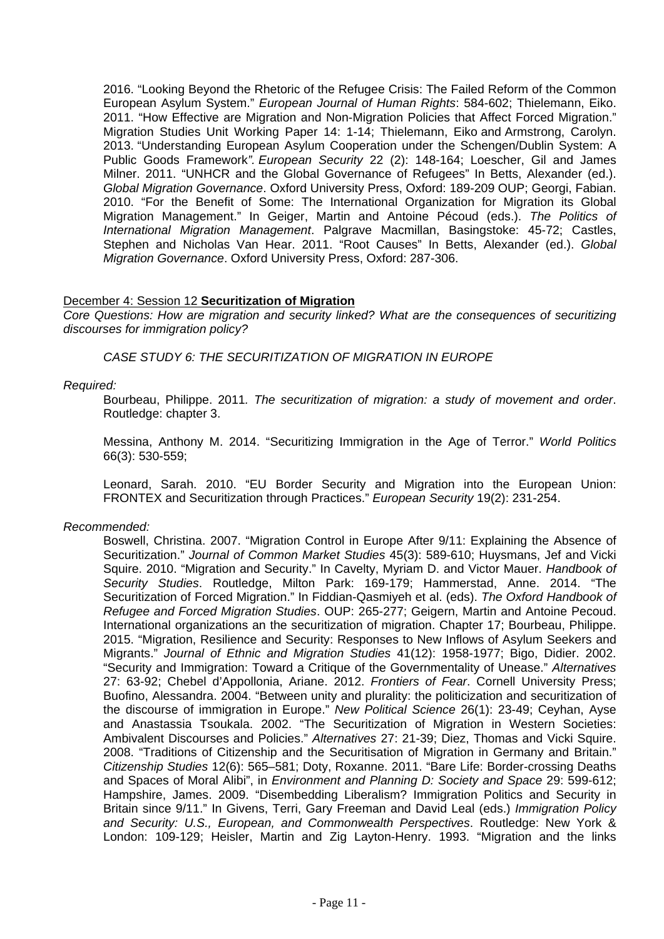2016. "Looking Beyond the Rhetoric of the Refugee Crisis: The Failed Reform of the Common European Asylum System." *European Journal of Human Rights*: 584-602; Thielemann, Eiko. 2011. "How Effective are Migration and Non-Migration Policies that Affect Forced Migration." Migration Studies Unit Working Paper 14: 1-14; Thielemann, Eiko and Armstrong, Carolyn. 2013. "Understanding European Asylum Cooperation under the Schengen/Dublin System: A Public Goods Framework*". European Security* 22 (2): 148-164; Loescher, Gil and James Milner. 2011. "UNHCR and the Global Governance of Refugees" In Betts, Alexander (ed.). *Global Migration Governance*. Oxford University Press, Oxford: 189-209 OUP; Georgi, Fabian. 2010. "For the Benefit of Some: The International Organization for Migration its Global Migration Management." In Geiger, Martin and Antoine Pécoud (eds.). *The Politics of International Migration Management*. Palgrave Macmillan, Basingstoke: 45-72; Castles, Stephen and Nicholas Van Hear. 2011. "Root Causes" In Betts, Alexander (ed.). *Global Migration Governance*. Oxford University Press, Oxford: 287-306.

### December 4: Session 12 **Securitization of Migration**

*Core Questions: How are migration and security linked? What are the consequences of securitizing discourses for immigration policy?* 

*CASE STUDY 6: THE SECURITIZATION OF MIGRATION IN EUROPE* 

### *Required:*

Bourbeau, Philippe. 2011*. The securitization of migration: a study of movement and order*. Routledge: chapter 3.

Messina, Anthony M. 2014. "Securitizing Immigration in the Age of Terror." *World Politics* 66(3): 530-559;

Leonard, Sarah. 2010. "EU Border Security and Migration into the European Union: FRONTEX and Securitization through Practices." *European Security* 19(2): 231-254.

### *Recommended:*

Boswell, Christina. 2007. "Migration Control in Europe After 9/11: Explaining the Absence of Securitization." *Journal of Common Market Studies* 45(3): 589-610; Huysmans, Jef and Vicki Squire. 2010. "Migration and Security." In Cavelty, Myriam D. and Victor Mauer. *Handbook of Security Studies*. Routledge, Milton Park: 169-179; Hammerstad, Anne. 2014. "The Securitization of Forced Migration." In Fiddian-Qasmiyeh et al. (eds). *The Oxford Handbook of Refugee and Forced Migration Studies*. OUP: 265-277; Geigern, Martin and Antoine Pecoud. International organizations an the securitization of migration. Chapter 17; Bourbeau, Philippe. 2015. "Migration, Resilience and Security: Responses to New Inflows of Asylum Seekers and Migrants." *Journal of Ethnic and Migration Studies* 41(12): 1958-1977; Bigo, Didier. 2002. "Security and Immigration: Toward a Critique of the Governmentality of Unease." *Alternatives* 27: 63-92; Chebel d'Appollonia, Ariane. 2012. *Frontiers of Fear*. Cornell University Press; Buofino, Alessandra. 2004. "Between unity and plurality: the politicization and securitization of the discourse of immigration in Europe." *New Political Science* 26(1): 23-49; Ceyhan, Ayse and Anastassia Tsoukala. 2002. "The Securitization of Migration in Western Societies: Ambivalent Discourses and Policies." *Alternatives* 27: 21-39; Diez, Thomas and Vicki Squire. 2008. "Traditions of Citizenship and the Securitisation of Migration in Germany and Britain." *Citizenship Studies* 12(6): 565–581; Doty, Roxanne. 2011. "Bare Life: Border-crossing Deaths and Spaces of Moral Alibi", in *Environment and Planning D: Society and Space* 29: 599-612; Hampshire, James. 2009. "Disembedding Liberalism? Immigration Politics and Security in Britain since 9/11." In Givens, Terri, Gary Freeman and David Leal (eds.) *Immigration Policy and Security: U.S., European, and Commonwealth Perspectives*. Routledge: New York & London: 109-129; Heisler, Martin and Zig Layton-Henry. 1993. "Migration and the links